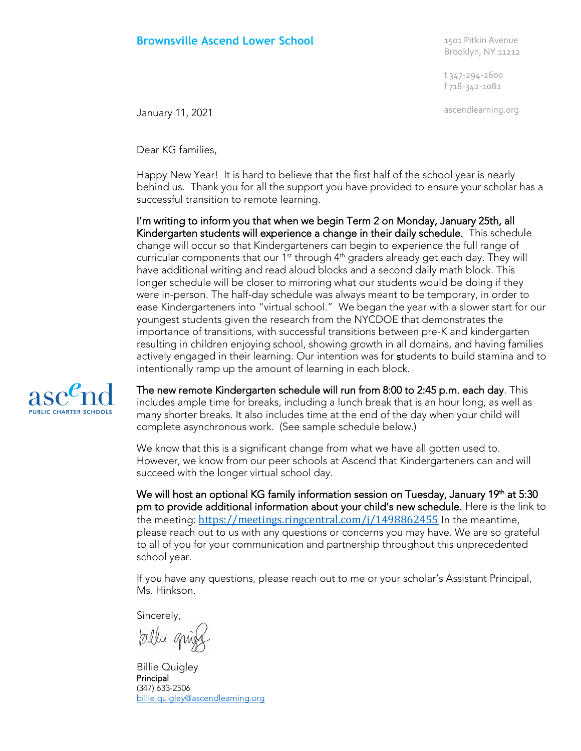## **Brownsville Ascend Lower School** 1501 Pitkin Avenue

Brooklyn, NY 11212

t 347-294-2600 f 718-342-1082

ascendlearning.org January 11, 2021

Dear KG families,

Happy New Year! It is hard to believe that the first half of the school year is nearly behind us. Thank you for all the support you have provided to ensure your scholar has a successful transition to remote learning.

I'm writing to inform you that when we begin Term 2 on Monday, January 25th, all Kindergarten students will experience a change in their daily schedule. This schedule change will occur so that Kindergarteners can begin to experience the full range of curricular components that our  $1<sup>st</sup>$  through  $4<sup>th</sup>$  graders already get each day. They will have additional writing and read aloud blocks and a second daily math block. This longer schedule will be closer to mirroring what our students would be doing if they were in-person. The half-day schedule was always meant to be temporary, in order to ease Kindergarteners into "virtual school." We began the year with a slower start for our youngest students given the research from the NYCDOE that demonstrates the importance of transitions, with successful transitions between pre-K and kindergarten resulting in children enjoying school, showing growth in all domains, and having families actively engaged in their learning. Our intention was for students to build stamina and to intentionally ramp up the amount of learning in each block.



The new remote Kindergarten schedule will run from 8:00 to 2:45 p.m. each day. This includes ample time for breaks, including a lunch break that is an hour long, as well as many shorter breaks. It also includes time at the end of the day when your child will complete asynchronous work. (See sample schedule below.)

We know that this is a significant change from what we have all gotten used to. However, we know from our peer schools at Ascend that Kindergarteners can and will succeed with the longer virtual school day.

We will host an optional KG family information session on Tuesday, January 19<sup>th</sup> at 5:30 pm to provide additional information about your child's new schedule. Here is the link to the meeting: <https://meetings.ringcentral.com/j/1498862455> In the meantime, please reach out to us with any questions or concerns you may have. We are so grateful to all of you for your communication and partnership throughout this unprecedented school year.

If you have any questions, please reach out to me or your scholar's Assistant Principal, Ms. Hinkson.

Sincerely,

pallie quiet

Billie Quigley Principal (347) 633-2506 [billie.quigley@ascendlearning.org](mailto:billie.quigley@ascendlearning.org)